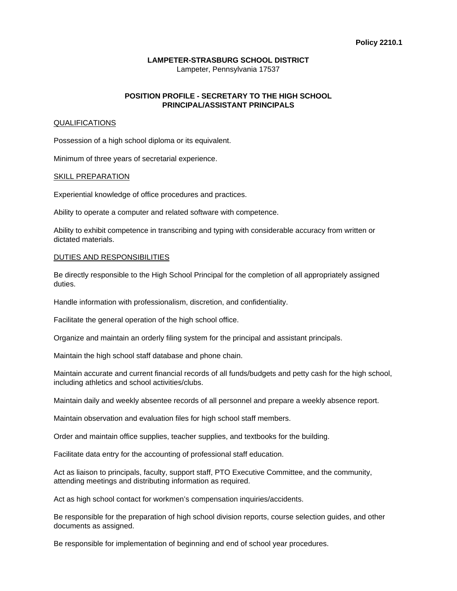# **LAMPETER-STRASBURG SCHOOL DISTRICT**

Lampeter, Pennsylvania 17537

# **POSITION PROFILE - SECRETARY TO THE HIGH SCHOOL PRINCIPAL/ASSISTANT PRINCIPALS**

# **QUALIFICATIONS**

Possession of a high school diploma or its equivalent.

Minimum of three years of secretarial experience.

#### SKILL PREPARATION

Experiential knowledge of office procedures and practices.

Ability to operate a computer and related software with competence.

Ability to exhibit competence in transcribing and typing with considerable accuracy from written or dictated materials.

# DUTIES AND RESPONSIBILITIES

Be directly responsible to the High School Principal for the completion of all appropriately assigned duties.

Handle information with professionalism, discretion, and confidentiality.

Facilitate the general operation of the high school office.

Organize and maintain an orderly filing system for the principal and assistant principals.

Maintain the high school staff database and phone chain.

Maintain accurate and current financial records of all funds/budgets and petty cash for the high school, including athletics and school activities/clubs.

Maintain daily and weekly absentee records of all personnel and prepare a weekly absence report.

Maintain observation and evaluation files for high school staff members.

Order and maintain office supplies, teacher supplies, and textbooks for the building.

Facilitate data entry for the accounting of professional staff education.

Act as liaison to principals, faculty, support staff, PTO Executive Committee, and the community, attending meetings and distributing information as required.

Act as high school contact for workmen's compensation inquiries/accidents.

Be responsible for the preparation of high school division reports, course selection guides, and other documents as assigned.

Be responsible for implementation of beginning and end of school year procedures.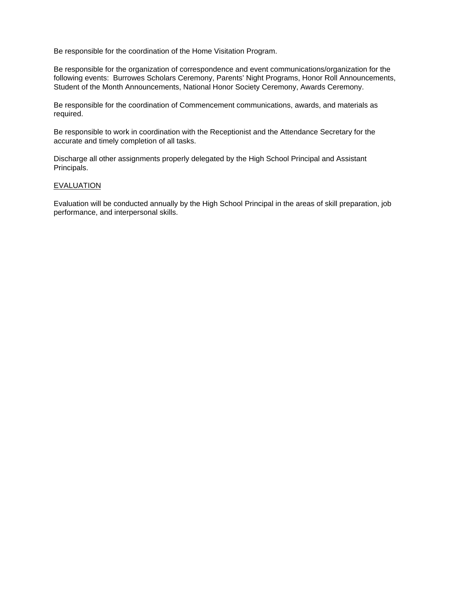Be responsible for the coordination of the Home Visitation Program.

Be responsible for the organization of correspondence and event communications/organization for the following events: Burrowes Scholars Ceremony, Parents' Night Programs, Honor Roll Announcements, Student of the Month Announcements, National Honor Society Ceremony, Awards Ceremony.

Be responsible for the coordination of Commencement communications, awards, and materials as required.

Be responsible to work in coordination with the Receptionist and the Attendance Secretary for the accurate and timely completion of all tasks.

Discharge all other assignments properly delegated by the High School Principal and Assistant Principals.

# **EVALUATION**

Evaluation will be conducted annually by the High School Principal in the areas of skill preparation, job performance, and interpersonal skills.